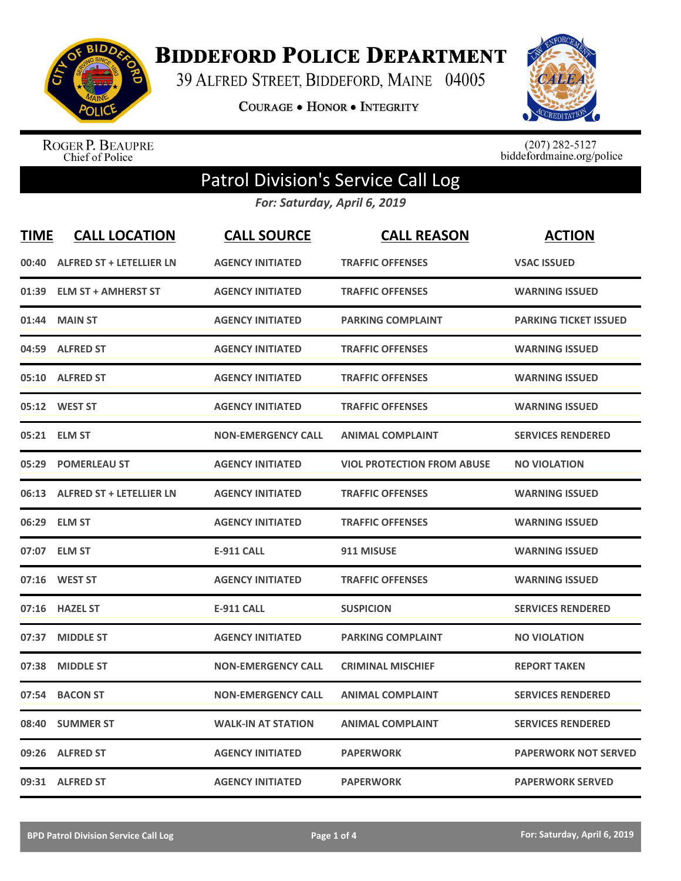

**BIDDEFORD POLICE DEPARTMENT** 

39 ALFRED STREET, BIDDEFORD, MAINE 04005

**COURAGE . HONOR . INTEGRITY** 



ROGER P. BEAUPRE<br>Chief of Police

 $(207)$  282-5127<br>biddefordmaine.org/police

## Patrol Division's Service Call Log

*For: Saturday, April 6, 2019*

| <b>TIME</b> | <b>CALL LOCATION</b>            | <b>CALL SOURCE</b>        | <b>CALL REASON</b>                | <b>ACTION</b>                |
|-------------|---------------------------------|---------------------------|-----------------------------------|------------------------------|
| 00:40       | <b>ALFRED ST + LETELLIER LN</b> | <b>AGENCY INITIATED</b>   | <b>TRAFFIC OFFENSES</b>           | <b>VSAC ISSUED</b>           |
| 01:39       | <b>ELM ST + AMHERST ST</b>      | <b>AGENCY INITIATED</b>   | <b>TRAFFIC OFFENSES</b>           | <b>WARNING ISSUED</b>        |
| 01:44       | <b>MAIN ST</b>                  | <b>AGENCY INITIATED</b>   | <b>PARKING COMPLAINT</b>          | <b>PARKING TICKET ISSUED</b> |
| 04:59       | <b>ALFRED ST</b>                | <b>AGENCY INITIATED</b>   | <b>TRAFFIC OFFENSES</b>           | <b>WARNING ISSUED</b>        |
| 05:10       | <b>ALFRED ST</b>                | <b>AGENCY INITIATED</b>   | <b>TRAFFIC OFFENSES</b>           | <b>WARNING ISSUED</b>        |
| 05:12       | <b>WEST ST</b>                  | <b>AGENCY INITIATED</b>   | <b>TRAFFIC OFFENSES</b>           | <b>WARNING ISSUED</b>        |
| 05:21       | <b>ELM ST</b>                   | <b>NON-EMERGENCY CALL</b> | <b>ANIMAL COMPLAINT</b>           | <b>SERVICES RENDERED</b>     |
| 05:29       | <b>POMERLEAU ST</b>             | <b>AGENCY INITIATED</b>   | <b>VIOL PROTECTION FROM ABUSE</b> | <b>NO VIOLATION</b>          |
| 06:13       | <b>ALFRED ST + LETELLIER LN</b> | <b>AGENCY INITIATED</b>   | <b>TRAFFIC OFFENSES</b>           | <b>WARNING ISSUED</b>        |
| 06:29       | <b>ELM ST</b>                   | <b>AGENCY INITIATED</b>   | <b>TRAFFIC OFFENSES</b>           | <b>WARNING ISSUED</b>        |
| 07:07       | <b>ELM ST</b>                   | <b>E-911 CALL</b>         | 911 MISUSE                        | <b>WARNING ISSUED</b>        |
| 07:16       | <b>WEST ST</b>                  | <b>AGENCY INITIATED</b>   | <b>TRAFFIC OFFENSES</b>           | <b>WARNING ISSUED</b>        |
| 07:16       | <b>HAZEL ST</b>                 | <b>E-911 CALL</b>         | <b>SUSPICION</b>                  | <b>SERVICES RENDERED</b>     |
| 07:37       | <b>MIDDLE ST</b>                | <b>AGENCY INITIATED</b>   | <b>PARKING COMPLAINT</b>          | <b>NO VIOLATION</b>          |
| 07:38       | <b>MIDDLE ST</b>                | <b>NON-EMERGENCY CALL</b> | <b>CRIMINAL MISCHIEF</b>          | REPORT TAKEN                 |
| 07:54       | <b>BACON ST</b>                 | <b>NON-EMERGENCY CALL</b> | <b>ANIMAL COMPLAINT</b>           | <b>SERVICES RENDERED</b>     |
| 08:40       | <b>SUMMER ST</b>                | <b>WALK-IN AT STATION</b> | <b>ANIMAL COMPLAINT</b>           | <b>SERVICES RENDERED</b>     |
| 09:26       | <b>ALFRED ST</b>                | <b>AGENCY INITIATED</b>   | <b>PAPERWORK</b>                  | <b>PAPERWORK NOT SERVED</b>  |
|             | 09:31 ALFRED ST                 | <b>AGENCY INITIATED</b>   | <b>PAPERWORK</b>                  | <b>PAPERWORK SERVED</b>      |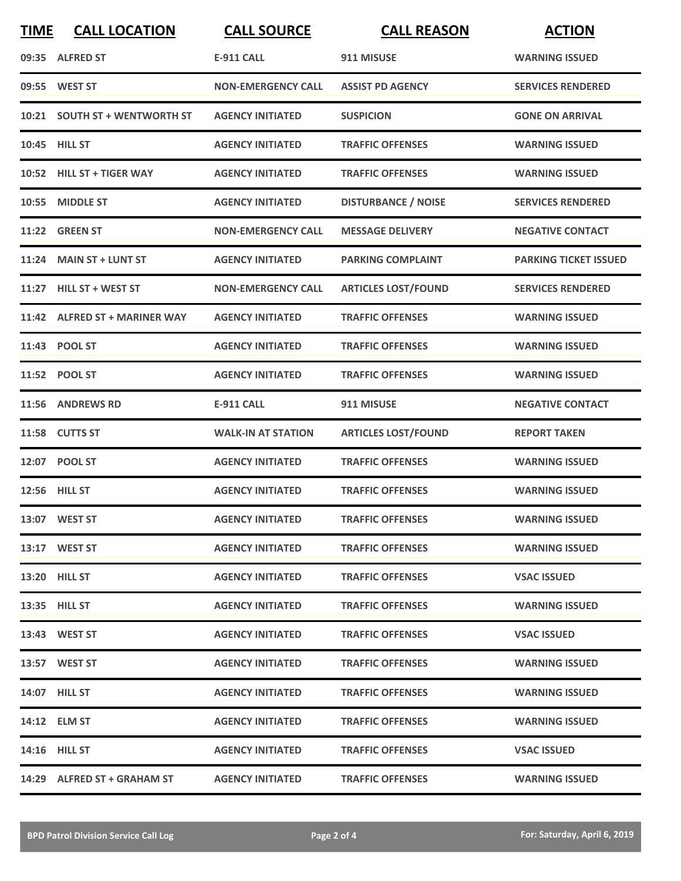| <b>TIME</b> | <b>CALL LOCATION</b>          | <b>CALL SOURCE</b>        | <b>CALL REASON</b>         | <b>ACTION</b>                |
|-------------|-------------------------------|---------------------------|----------------------------|------------------------------|
|             | 09:35 ALFRED ST               | <b>E-911 CALL</b>         | 911 MISUSE                 | <b>WARNING ISSUED</b>        |
|             | 09:55 WEST ST                 | <b>NON-EMERGENCY CALL</b> | <b>ASSIST PD AGENCY</b>    | <b>SERVICES RENDERED</b>     |
|             | 10:21 SOUTH ST + WENTWORTH ST | <b>AGENCY INITIATED</b>   | <b>SUSPICION</b>           | <b>GONE ON ARRIVAL</b>       |
|             | 10:45 HILL ST                 | <b>AGENCY INITIATED</b>   | <b>TRAFFIC OFFENSES</b>    | <b>WARNING ISSUED</b>        |
|             | 10:52 HILL ST + TIGER WAY     | <b>AGENCY INITIATED</b>   | <b>TRAFFIC OFFENSES</b>    | <b>WARNING ISSUED</b>        |
|             | 10:55 MIDDLE ST               | <b>AGENCY INITIATED</b>   | <b>DISTURBANCE / NOISE</b> | <b>SERVICES RENDERED</b>     |
|             | 11:22 GREEN ST                | <b>NON-EMERGENCY CALL</b> | <b>MESSAGE DELIVERY</b>    | <b>NEGATIVE CONTACT</b>      |
|             | 11:24 MAIN ST + LUNT ST       | <b>AGENCY INITIATED</b>   | <b>PARKING COMPLAINT</b>   | <b>PARKING TICKET ISSUED</b> |
|             | 11:27 HILL ST + WEST ST       | <b>NON-EMERGENCY CALL</b> | <b>ARTICLES LOST/FOUND</b> | <b>SERVICES RENDERED</b>     |
|             | 11:42 ALFRED ST + MARINER WAY | <b>AGENCY INITIATED</b>   | <b>TRAFFIC OFFENSES</b>    | <b>WARNING ISSUED</b>        |
|             | 11:43 POOL ST                 | <b>AGENCY INITIATED</b>   | <b>TRAFFIC OFFENSES</b>    | <b>WARNING ISSUED</b>        |
|             | 11:52 POOL ST                 | <b>AGENCY INITIATED</b>   | <b>TRAFFIC OFFENSES</b>    | <b>WARNING ISSUED</b>        |
|             | 11:56 ANDREWS RD              | <b>E-911 CALL</b>         | 911 MISUSE                 | <b>NEGATIVE CONTACT</b>      |
|             | 11:58 CUTTS ST                | <b>WALK-IN AT STATION</b> | <b>ARTICLES LOST/FOUND</b> | <b>REPORT TAKEN</b>          |
|             | 12:07 POOL ST                 | <b>AGENCY INITIATED</b>   | <b>TRAFFIC OFFENSES</b>    | <b>WARNING ISSUED</b>        |
|             | 12:56 HILL ST                 | <b>AGENCY INITIATED</b>   | <b>TRAFFIC OFFENSES</b>    | <b>WARNING ISSUED</b>        |
|             | 13:07 WEST ST                 | <b>AGENCY INITIATED</b>   | <b>TRAFFIC OFFENSES</b>    | <b>WARNING ISSUED</b>        |
|             | 13:17 WEST ST                 | <b>AGENCY INITIATED</b>   | <b>TRAFFIC OFFENSES</b>    | <b>WARNING ISSUED</b>        |
|             | <b>13:20 HILL ST</b>          | <b>AGENCY INITIATED</b>   | <b>TRAFFIC OFFENSES</b>    | <b>VSAC ISSUED</b>           |
|             | 13:35 HILL ST                 | <b>AGENCY INITIATED</b>   | <b>TRAFFIC OFFENSES</b>    | <b>WARNING ISSUED</b>        |
|             | 13:43 WEST ST                 | <b>AGENCY INITIATED</b>   | <b>TRAFFIC OFFENSES</b>    | <b>VSAC ISSUED</b>           |
|             | 13:57 WEST ST                 | <b>AGENCY INITIATED</b>   | <b>TRAFFIC OFFENSES</b>    | <b>WARNING ISSUED</b>        |
|             | <b>14:07 HILL ST</b>          | <b>AGENCY INITIATED</b>   | <b>TRAFFIC OFFENSES</b>    | <b>WARNING ISSUED</b>        |
|             | 14:12 ELM ST                  | <b>AGENCY INITIATED</b>   | <b>TRAFFIC OFFENSES</b>    | <b>WARNING ISSUED</b>        |
|             | <b>14:16 HILL ST</b>          | <b>AGENCY INITIATED</b>   | <b>TRAFFIC OFFENSES</b>    | <b>VSAC ISSUED</b>           |
|             | 14:29 ALFRED ST + GRAHAM ST   | <b>AGENCY INITIATED</b>   | <b>TRAFFIC OFFENSES</b>    | <b>WARNING ISSUED</b>        |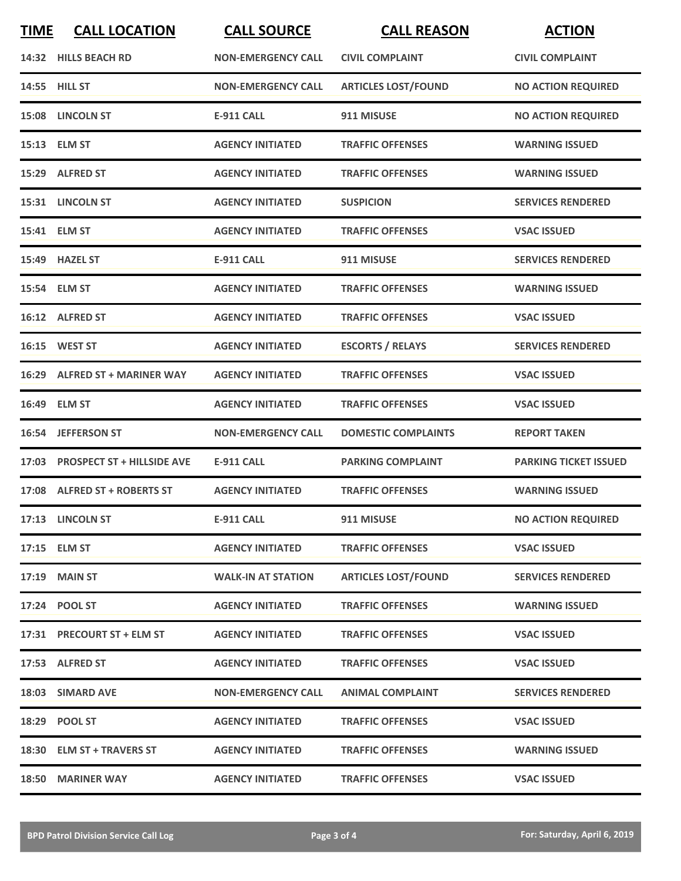| <b>TIME</b> | <b>CALL LOCATION</b>             | <b>CALL SOURCE</b>        | <b>CALL REASON</b>         | <b>ACTION</b>                |
|-------------|----------------------------------|---------------------------|----------------------------|------------------------------|
|             | 14:32 HILLS BEACH RD             | <b>NON-EMERGENCY CALL</b> | <b>CIVIL COMPLAINT</b>     | <b>CIVIL COMPLAINT</b>       |
|             | 14:55 HILL ST                    | <b>NON-EMERGENCY CALL</b> | <b>ARTICLES LOST/FOUND</b> | <b>NO ACTION REQUIRED</b>    |
|             | 15:08 LINCOLN ST                 | <b>E-911 CALL</b>         | 911 MISUSE                 | <b>NO ACTION REQUIRED</b>    |
|             | 15:13 ELM ST                     | <b>AGENCY INITIATED</b>   | <b>TRAFFIC OFFENSES</b>    | <b>WARNING ISSUED</b>        |
|             | 15:29 ALFRED ST                  | <b>AGENCY INITIATED</b>   | <b>TRAFFIC OFFENSES</b>    | <b>WARNING ISSUED</b>        |
|             | 15:31 LINCOLN ST                 | <b>AGENCY INITIATED</b>   | <b>SUSPICION</b>           | <b>SERVICES RENDERED</b>     |
|             | 15:41 ELM ST                     | <b>AGENCY INITIATED</b>   | <b>TRAFFIC OFFENSES</b>    | <b>VSAC ISSUED</b>           |
|             | 15:49 HAZEL ST                   | <b>E-911 CALL</b>         | 911 MISUSE                 | <b>SERVICES RENDERED</b>     |
|             | 15:54 ELM ST                     | <b>AGENCY INITIATED</b>   | <b>TRAFFIC OFFENSES</b>    | <b>WARNING ISSUED</b>        |
|             | 16:12 ALFRED ST                  | <b>AGENCY INITIATED</b>   | <b>TRAFFIC OFFENSES</b>    | <b>VSAC ISSUED</b>           |
|             | 16:15 WEST ST                    | <b>AGENCY INITIATED</b>   | <b>ESCORTS / RELAYS</b>    | <b>SERVICES RENDERED</b>     |
|             | 16:29 ALFRED ST + MARINER WAY    | <b>AGENCY INITIATED</b>   | <b>TRAFFIC OFFENSES</b>    | <b>VSAC ISSUED</b>           |
|             | 16:49 ELM ST                     | <b>AGENCY INITIATED</b>   | <b>TRAFFIC OFFENSES</b>    | <b>VSAC ISSUED</b>           |
|             | 16:54 JEFFERSON ST               | <b>NON-EMERGENCY CALL</b> | <b>DOMESTIC COMPLAINTS</b> | <b>REPORT TAKEN</b>          |
|             | 17:03 PROSPECT ST + HILLSIDE AVE | <b>E-911 CALL</b>         | <b>PARKING COMPLAINT</b>   | <b>PARKING TICKET ISSUED</b> |
|             | 17:08 ALFRED ST + ROBERTS ST     | <b>AGENCY INITIATED</b>   | <b>TRAFFIC OFFENSES</b>    | <b>WARNING ISSUED</b>        |
|             | 17:13 LINCOLN ST                 | E-911 CALL                | 911 MISUSE                 | <b>NO ACTION REQUIRED</b>    |
|             | 17:15 ELM ST                     | <b>AGENCY INITIATED</b>   | <b>TRAFFIC OFFENSES</b>    | <b>VSAC ISSUED</b>           |
|             | 17:19 MAIN ST                    | <b>WALK-IN AT STATION</b> | <b>ARTICLES LOST/FOUND</b> | <b>SERVICES RENDERED</b>     |
|             | 17:24 POOL ST                    | <b>AGENCY INITIATED</b>   | <b>TRAFFIC OFFENSES</b>    | <b>WARNING ISSUED</b>        |
|             | 17:31 PRECOURT ST + ELM ST       | <b>AGENCY INITIATED</b>   | <b>TRAFFIC OFFENSES</b>    | <b>VSAC ISSUED</b>           |
|             | 17:53 ALFRED ST                  | <b>AGENCY INITIATED</b>   | <b>TRAFFIC OFFENSES</b>    | <b>VSAC ISSUED</b>           |
|             | 18:03 SIMARD AVE                 | <b>NON-EMERGENCY CALL</b> | <b>ANIMAL COMPLAINT</b>    | <b>SERVICES RENDERED</b>     |
|             | 18:29 POOL ST                    | <b>AGENCY INITIATED</b>   | <b>TRAFFIC OFFENSES</b>    | <b>VSAC ISSUED</b>           |
|             | 18:30 ELM ST + TRAVERS ST        | <b>AGENCY INITIATED</b>   | <b>TRAFFIC OFFENSES</b>    | <b>WARNING ISSUED</b>        |
|             | 18:50 MARINER WAY                | <b>AGENCY INITIATED</b>   | <b>TRAFFIC OFFENSES</b>    | <b>VSAC ISSUED</b>           |